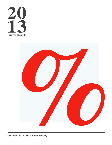



**Commercial Auto & Fleet Survey**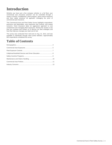# **Introduction**

Whether you have just a few company vehicles or a full fleet, your commercial auto insurance premium can be controlled through a variety of factors. Establishing a fleet program, good control measures and best safety practices all approach managing the price of commercial auto insurance.

This Commercial Auto and Fleet Safety Survey highlights respondents' premiums and deductibles, auto exposures and controls, and market concerns. Horst Insurance takes an aggressive approach to cost containment and managing fleet exposures. Review the results to see how you compare and contact us to discuss our fleet strategies and how they help you manage your total cost of risk.

The survey was conducted from mid-June to Aug. 31, 2013, and was available to individuals through client portal websites. Approximately 663 respondents completed the survey.

### **Table of Contents**

| Cellphone/Handheld Devices and Driver Education 8 |  |
|---------------------------------------------------|--|
|                                                   |  |
|                                                   |  |
|                                                   |  |
|                                                   |  |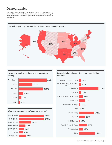### **Demographics**

This survey was completed by employers in all 50 states and the District of Columbia. Similar to last year, the overwhelming majority of survey respondents were from organizations employing fewer than 500 employees.



### **How many employees does your organization employ?**



**In which industry/sector does your organization operate?**



**What is your organization's annual revenue?**

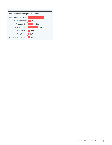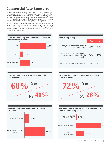### **Commercial Auto Exposures**

Sixty-six percent of companies participating in the survey own their own vehicles, down from 67 percent last year. To protect their investment and personnel, 58 percent use a written fleet safety policy. Of those, 84 percent of respondents build employee awareness of this policy by requiring an employee signature upon review. And 94 percent proactively enforce this policy to manage their fleet exposures.

Of the 72 percent of employees who drive their personal vehicles on company business, 80.5 percent are reimbursed for miles driven instead of a monthly car allowance; a majority of companies (74 percent) utilize the IRS-recommended per-mile rate as their reimbursement benchmark.



| <b>Fleet Safety Policy</b>                                                        |        |        |  |  |
|-----------------------------------------------------------------------------------|--------|--------|--|--|
|                                                                                   | Yes    | No     |  |  |
| Does your company have a written<br><b>Fleet Safety Policy?</b>                   | 58%    | $42\%$ |  |  |
| Are employees driving on company<br>time required to read and sign the<br>policy? | $84\%$ | 16%    |  |  |
| Is the Fleet Safety Policy enforced?                                              | $94\%$ | 6%     |  |  |

**Does your company provide employees with company vehicles?**



**Do employees drive their personal vehicles on company business?**



**How are employees reimbursed for their auto expenses?** Monthly car allowance 19.5% Reimbursement for miles 80.5% driven



Less than IRS

recommendation



24.2%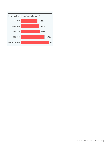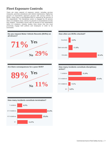### **Fleet Exposure Controls**

There are many aspects of exposure control, including pre-loss measures, post-loss procedures and vehicle maintenance. Eighty-two percent of respondents approach pre-loss with annual reviews of MVRs. Action upon a sub-standard MVR is required by 89 percent of the respondents. This disciplinary action is engaged by 63 percent when 2-3 violations occur, and by 31 percent in circumstances of only one violation. Termination occurs with 43 percent of the respondents within 2-3 violations. Industry studies have shown that one must proactively engage both policies and employees in order to be successful.









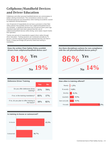### **Cellphone/Handheld Devices and Driver Education**

Cellphones and other personal handheld devices are commonplace in today's driving environment. This convenience comes at a cost. Financial exposures are tremendous when looking at accidents caused by inattentive driving behaviors.

Just 19 percent of respondents do not have a provision in their fleet safety policies that prohibits drivers from cellphone/handheld device use included—a significant decrease from 50 percent three years ago. Individual state laws have been passed that ban use of cellphones/handheld devices while driving; some states require handsfree operation.

Twenty-one percent of respondents support driver safety through driver education. Training sessions are conducted annually by 73 percent, and the majority (63 percent) reported that they are held inhouse. A large percentage (83 percent) noted that training is mandatory.

**Does the written Fleet Safety Policy prohibit drivers from cellphone/handheld device use?**





| <b>Defensive Driver Training</b>                       |        |        |  |  |  |
|--------------------------------------------------------|--------|--------|--|--|--|
|                                                        | Yes    | 'No    |  |  |  |
| Do you offer defensive driver<br>training?             | $21\%$ | 79%    |  |  |  |
| If so, is the training mandatory?                      | 83%    | $17\%$ |  |  |  |
| If no, do you plan to offer training in<br>the future? | 18%    | $82\%$ |  |  |  |



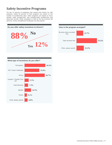### **Safety Incentive Programs**

For the 12 percent of employers that reward their drivers for safe practices, nearly 60 percent of their programs are based on the number of accident-free days. Other programs are based on hours worked, miles accident-free, and company-wide accident-free and injury-free records. While recognition is cited as the top incentive (46 percent), money and gift/travel certificates are also popular.



#### **How is the program arranged?**



#### **What type of incentives do you offer?**

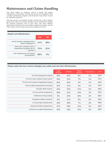### **Maintenance and Claims Handling**

One direct impact on exposure control is proper and regular maintenance of all vehicles. Seventy-five percent of respondents have a vehicle maintenance program, and 96 percent keep written records for verification purposes.

Fifty-one percent of companies include accident kits in their vehicles' glove boxes. Many loss control strategies can be employed to mitigate the financial exposures tied to your fleet. The most effective approaches include pre-hire and random drug/alcohol testing, pre-hire motor vehicle record review and pre-hire background checks.

| <b>Repairs and Maintenance</b>                                       |        |        |  |  |
|----------------------------------------------------------------------|--------|--------|--|--|
|                                                                      | Yes    | Nο     |  |  |
| Are all vehicles equipped with a<br>claims handling kit?             | $51\%$ | 49%    |  |  |
| Does your company have a<br>maintenance program for its<br>vehicles? | $75\%$ | $25\%$ |  |  |
| Are maintenance and repairs<br>documented?                           | $96\%$ | 4%     |  |  |

#### **Please select the loss control strategies you utilize and rate their effectiveness.**

|                                          | <b>Highly</b><br>effective | <b>Effective</b> | Slightly<br>effective | Not effective | N/A |
|------------------------------------------|----------------------------|------------------|-----------------------|---------------|-----|
| Pre-hire background checks               | 33%                        | 35%              | $8\%$                 | $1\%$         | 23% |
| Pre-hire motor vehicle record review     | 34%                        | 31%              | $7\%$                 | $1\%$         | 27% |
| Pre-hire and random drug/alcohol testing | 36%                        | 24%              | 6%                    | $1\%$         | 33% |
| Post-accident drug/alcohol screening     | 35%                        | 27%              | $4\%$                 | $1\%$         | 33% |
| Periodic MVR reviews                     | 24%                        | 33%              | $11\%$                | 3%            | 29% |
| Pre-trip vehicle inspections             | 20%                        | 31%              | 14%                   | 3%            | 32% |
| Defensive driving training               | 9%                         | 16%              | 10%                   | $2\%$         | 63% |
| Employee safety incentives               | 8%                         | $11\%$           | 8%                    | 3%            | 70% |
| In-house fleet maintenance               | 24%                        | 28%              | $7\%$                 | $2\%$         | 39% |
| Outsourced fleet maintenance             | 15%                        | 28%              | 12%                   | $2\%$         | 43% |
| Glove box accident kits/camera           | 16%                        | 24%              | 13%                   | 3%            | 44% |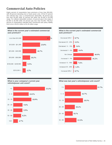### **Commercial Auto Policies**

Eighty percent of respondents have premiums of less than \$50,000, with 49 percent indicating nine or fewer power units. Of the 87 percent who indicate they carry a comprehensive deductible, 46 percent pay less than \$1,000 while 42 percent fall within the \$1,000 to \$2,499 range. For collision deductible numbers, 54 percent pay in the range of \$1,000 to \$2,499 while 29 percent pay less than \$1,000. Fifty-four percent of respondents indicated their commercial auto policy liability limit to be in the \$1 million to \$1.49 million range.





#### **What is the current year's estimated commercial auto premium?**



**What is your company's current year vehicle/power unit count?**



**What was last year's vehicle/power unit count?**

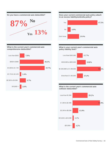**Do you have a commercial auto deductible? 87% No Yes 13%**

Less than \$500 7.5% \$500 to \$999 38.1% \$1,000 to \$1,749 39.7% \$1,750 to \$2,499  $2.4%$ \$2,500 to \$9,999 9.7%  $$10,000 +$ 2.6%

**What is the current year's commercial auto** 

**comprehensive deductible?**





#### **What is your current year's commercial auto policy liability limit?**



#### **What is the current year's commercial auto collision deductible?**